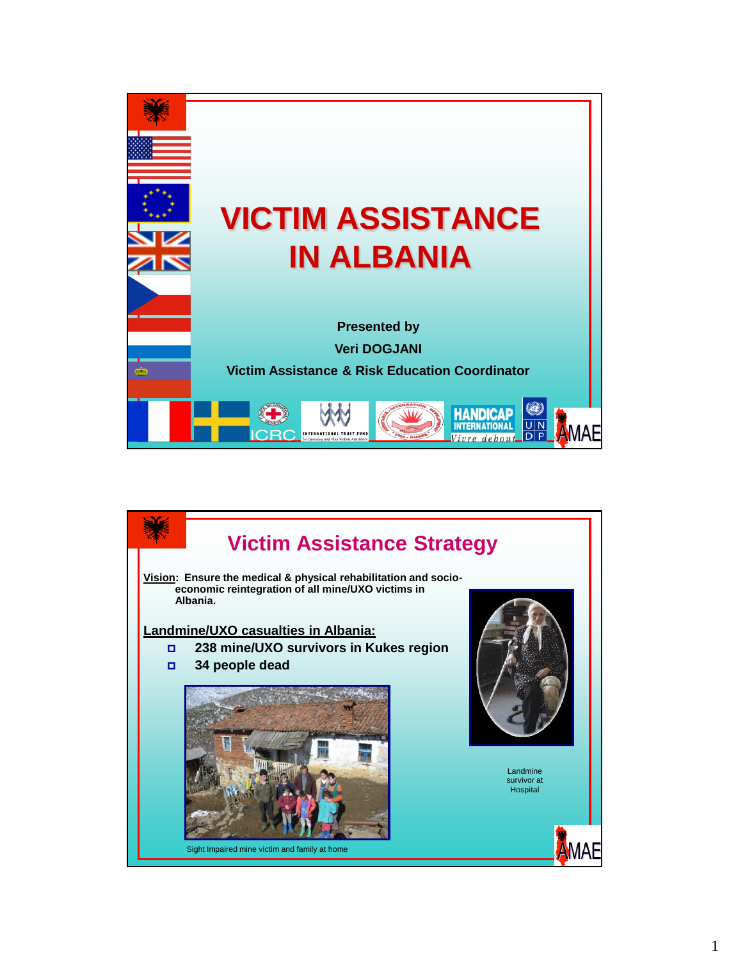

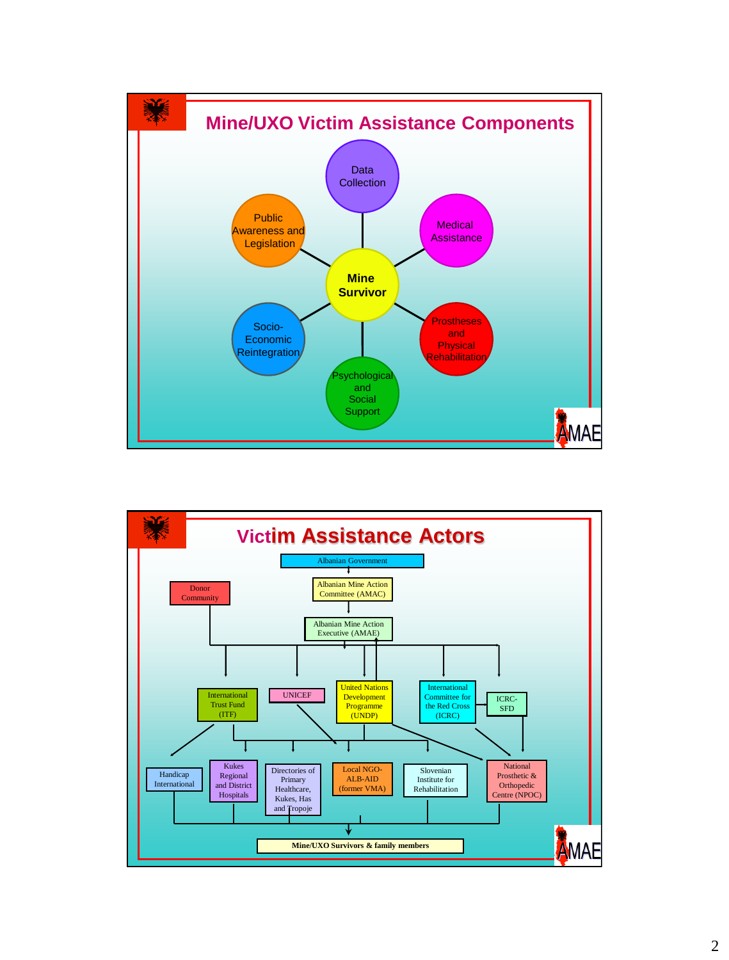

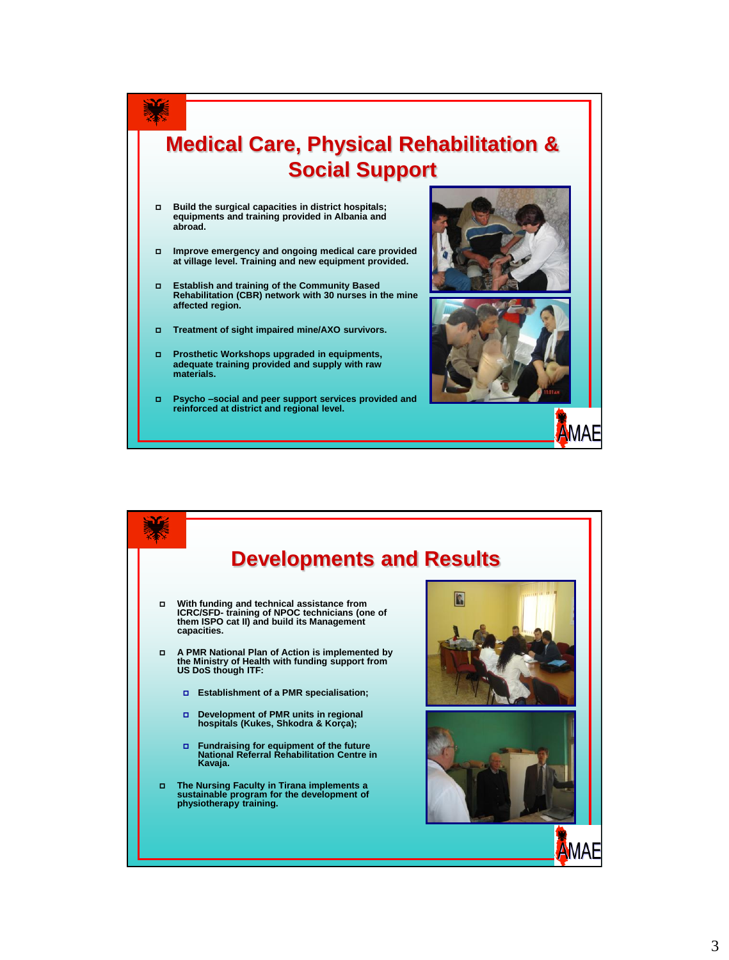

- **Build the surgical capacities in district hospitals; equipments and training provided in Albania and abroad.**
- **Improve emergency and ongoing medical care provided at village level. Training and new equipment provided.**
- **Establish and training of the Community Based Rehabilitation (CBR) network with 30 nurses in the mine affected region.**
- **Treatment of sight impaired mine/AXO survivors.**
- **Prosthetic Workshops upgraded in equipments, adequate training provided and supply with raw materials.**
- **Psycho –social and peer support services provided and reinforced at district and regional level.**





MAE

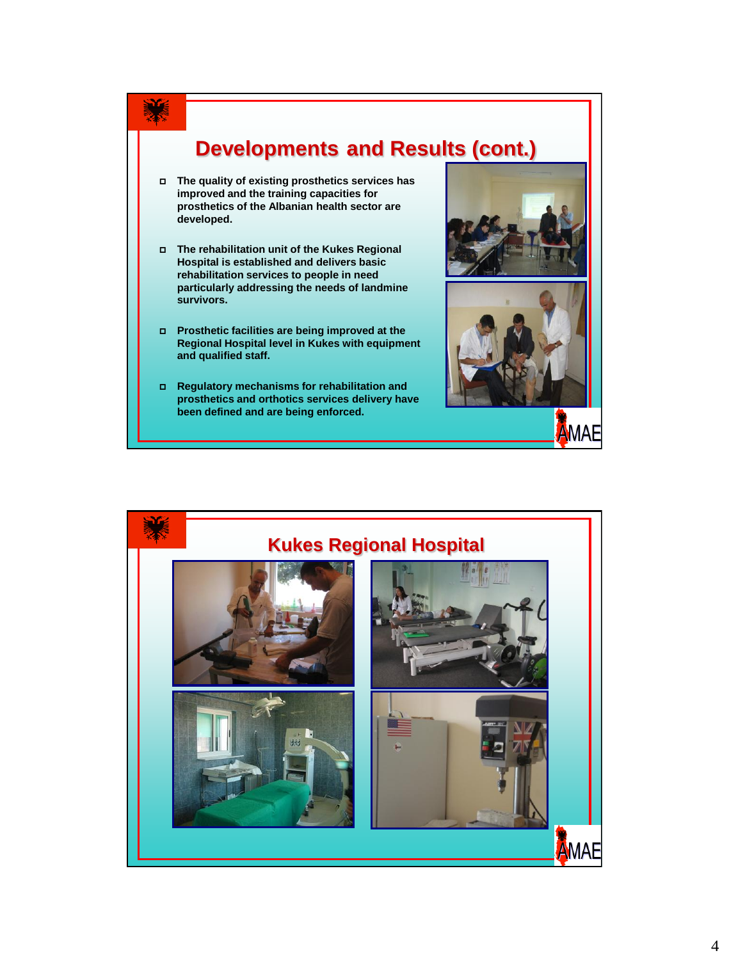

- **The quality of existing prosthetics services has improved and the training capacities for prosthetics of the Albanian health sector are developed.**
- **The rehabilitation unit of the Kukes Regional Hospital is established and delivers basic rehabilitation services to people in need particularly addressing the needs of landmine survivors.**
- **Prosthetic facilities are being improved at the Regional Hospital level in Kukes with equipment and qualified staff.**
- **Regulatory mechanisms for rehabilitation and prosthetics and orthotics services delivery have been defined and are being enforced.**





AMAE

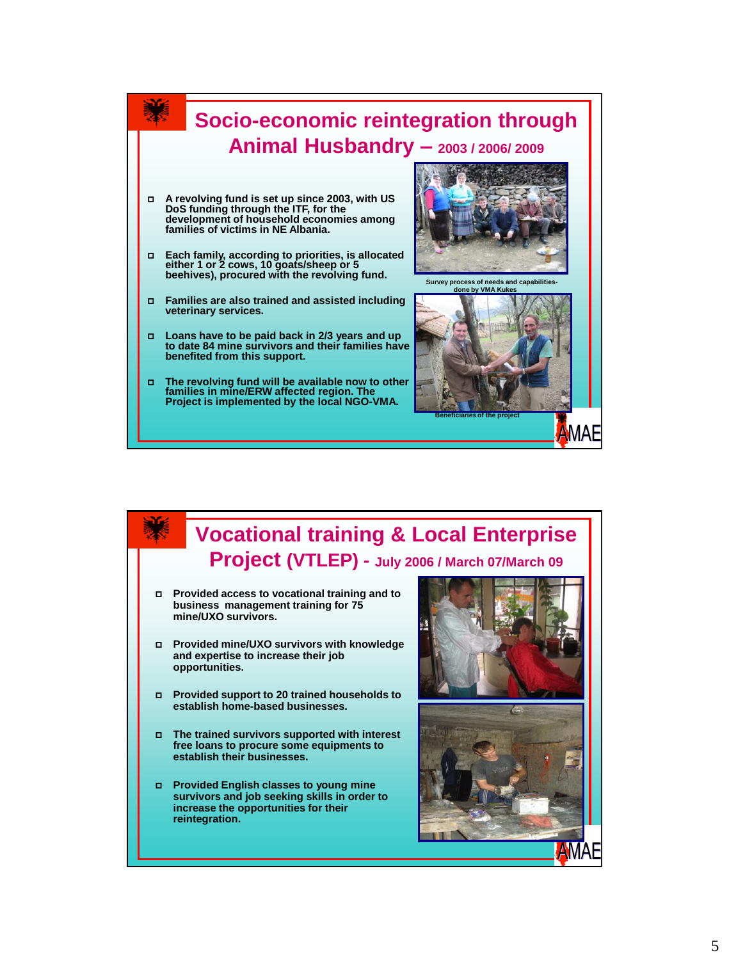

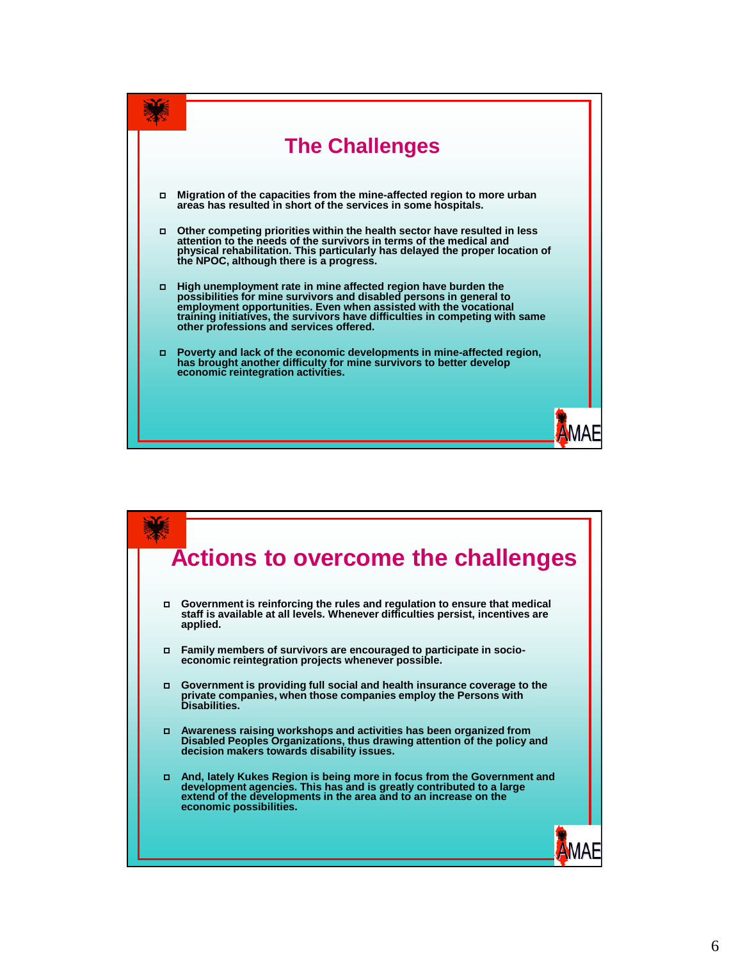